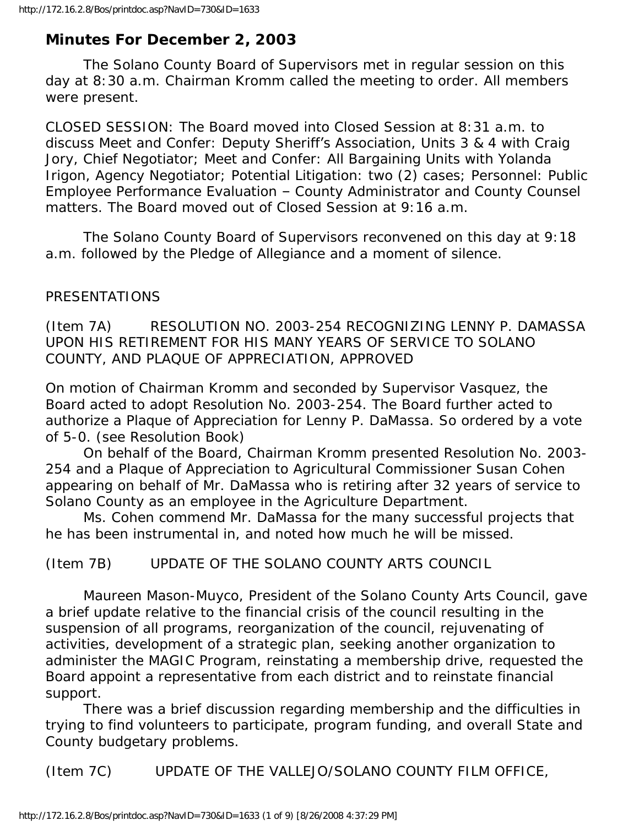# **Minutes For December 2, 2003**

 The Solano County Board of Supervisors met in regular session on this day at 8:30 a.m. Chairman Kromm called the meeting to order. All members were present.

CLOSED SESSION: The Board moved into Closed Session at 8:31 a.m. to discuss Meet and Confer: Deputy Sheriff's Association, Units 3 & 4 with Craig Jory, Chief Negotiator; Meet and Confer: All Bargaining Units with Yolanda Irigon, Agency Negotiator; Potential Litigation: two (2) cases; Personnel: Public Employee Performance Evaluation – County Administrator and County Counsel matters. The Board moved out of Closed Session at 9:16 a.m.

 The Solano County Board of Supervisors reconvened on this day at 9:18 a.m. followed by the Pledge of Allegiance and a moment of silence.

#### PRESENTATIONS

(Item 7A) RESOLUTION NO. 2003-254 RECOGNIZING LENNY P. DAMASSA UPON HIS RETIREMENT FOR HIS MANY YEARS OF SERVICE TO SOLANO COUNTY, AND PLAQUE OF APPRECIATION, APPROVED

On motion of Chairman Kromm and seconded by Supervisor Vasquez, the Board acted to adopt Resolution No. 2003-254. The Board further acted to authorize a Plaque of Appreciation for Lenny P. DaMassa. So ordered by a vote of 5-0. (see Resolution Book)

 On behalf of the Board, Chairman Kromm presented Resolution No. 2003- 254 and a Plaque of Appreciation to Agricultural Commissioner Susan Cohen appearing on behalf of Mr. DaMassa who is retiring after 32 years of service to Solano County as an employee in the Agriculture Department.

 Ms. Cohen commend Mr. DaMassa for the many successful projects that he has been instrumental in, and noted how much he will be missed.

(Item 7B) UPDATE OF THE SOLANO COUNTY ARTS COUNCIL

 Maureen Mason-Muyco, President of the Solano County Arts Council, gave a brief update relative to the financial crisis of the council resulting in the suspension of all programs, reorganization of the council, rejuvenating of activities, development of a strategic plan, seeking another organization to administer the MAGIC Program, reinstating a membership drive, requested the Board appoint a representative from each district and to reinstate financial support.

 There was a brief discussion regarding membership and the difficulties in trying to find volunteers to participate, program funding, and overall State and County budgetary problems.

(Item 7C) UPDATE OF THE VALLEJO/SOLANO COUNTY FILM OFFICE,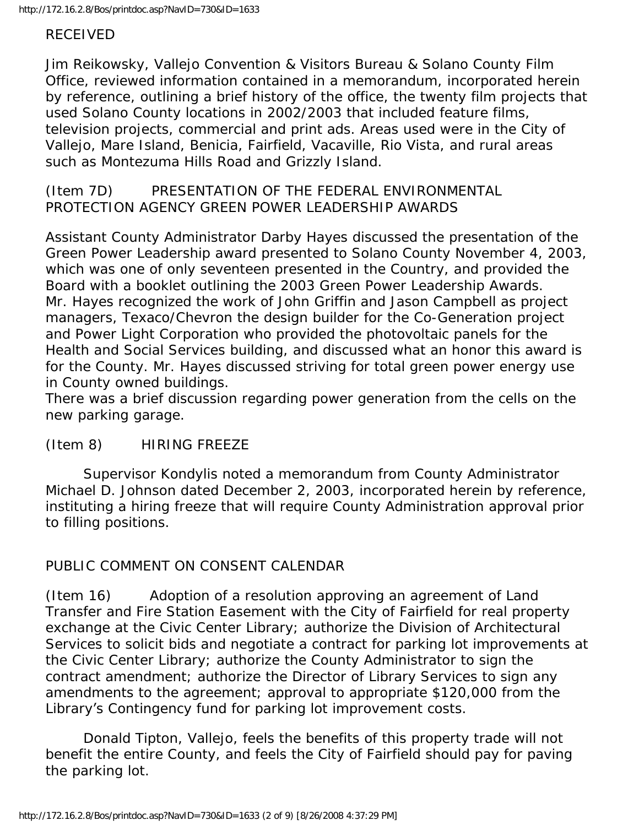#### RECEIVED

Jim Reikowsky, Vallejo Convention & Visitors Bureau & Solano County Film Office, reviewed information contained in a memorandum, incorporated herein by reference, outlining a brief history of the office, the twenty film projects that used Solano County locations in 2002/2003 that included feature films, television projects, commercial and print ads. Areas used were in the City of Vallejo, Mare Island, Benicia, Fairfield, Vacaville, Rio Vista, and rural areas such as Montezuma Hills Road and Grizzly Island.

(Item 7D) PRESENTATION OF THE FEDERAL ENVIRONMENTAL PROTECTION AGENCY GREEN POWER LEADERSHIP AWARDS

Assistant County Administrator Darby Hayes discussed the presentation of the Green Power Leadership award presented to Solano County November 4, 2003, which was one of only seventeen presented in the Country, and provided the Board with a booklet outlining the 2003 Green Power Leadership Awards. Mr. Hayes recognized the work of John Griffin and Jason Campbell as project managers, Texaco/Chevron the design builder for the Co-Generation project and Power Light Corporation who provided the photovoltaic panels for the Health and Social Services building, and discussed what an honor this award is for the County. Mr. Hayes discussed striving for total green power energy use in County owned buildings.

There was a brief discussion regarding power generation from the cells on the new parking garage.

#### (Item 8) HIRING FREEZE

 Supervisor Kondylis noted a memorandum from County Administrator Michael D. Johnson dated December 2, 2003, incorporated herein by reference, instituting a hiring freeze that will require County Administration approval prior to filling positions.

# PUBLIC COMMENT ON CONSENT CALENDAR

(Item 16) Adoption of a resolution approving an agreement of Land Transfer and Fire Station Easement with the City of Fairfield for real property exchange at the Civic Center Library; authorize the Division of Architectural Services to solicit bids and negotiate a contract for parking lot improvements at the Civic Center Library; authorize the County Administrator to sign the contract amendment; authorize the Director of Library Services to sign any amendments to the agreement; approval to appropriate \$120,000 from the Library's Contingency fund for parking lot improvement costs.

 Donald Tipton, Vallejo, feels the benefits of this property trade will not benefit the entire County, and feels the City of Fairfield should pay for paving the parking lot.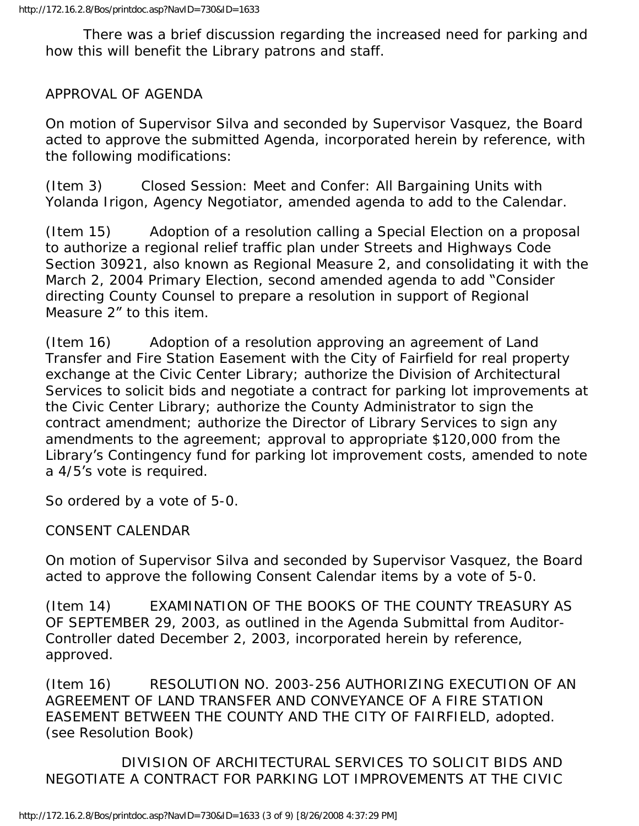There was a brief discussion regarding the increased need for parking and how this will benefit the Library patrons and staff.

## APPROVAL OF AGENDA

On motion of Supervisor Silva and seconded by Supervisor Vasquez, the Board acted to approve the submitted Agenda, incorporated herein by reference, with the following modifications:

(Item 3) Closed Session: Meet and Confer: All Bargaining Units with Yolanda Irigon, Agency Negotiator, amended agenda to add to the Calendar.

(Item 15) Adoption of a resolution calling a Special Election on a proposal to authorize a regional relief traffic plan under Streets and Highways Code Section 30921, also known as Regional Measure 2, and consolidating it with the March 2, 2004 Primary Election, second amended agenda to add "Consider directing County Counsel to prepare a resolution in support of Regional Measure 2" to this item.

(Item 16) Adoption of a resolution approving an agreement of Land Transfer and Fire Station Easement with the City of Fairfield for real property exchange at the Civic Center Library; authorize the Division of Architectural Services to solicit bids and negotiate a contract for parking lot improvements at the Civic Center Library; authorize the County Administrator to sign the contract amendment; authorize the Director of Library Services to sign any amendments to the agreement; approval to appropriate \$120,000 from the Library's Contingency fund for parking lot improvement costs, amended to note a 4/5's vote is required.

So ordered by a vote of 5-0.

CONSENT CALENDAR

On motion of Supervisor Silva and seconded by Supervisor Vasquez, the Board acted to approve the following Consent Calendar items by a vote of 5-0.

(Item 14) EXAMINATION OF THE BOOKS OF THE COUNTY TREASURY AS OF SEPTEMBER 29, 2003, as outlined in the Agenda Submittal from Auditor-Controller dated December 2, 2003, incorporated herein by reference, approved.

(Item 16) RESOLUTION NO. 2003-256 AUTHORIZING EXECUTION OF AN AGREEMENT OF LAND TRANSFER AND CONVEYANCE OF A FIRE STATION EASEMENT BETWEEN THE COUNTY AND THE CITY OF FAIRFIELD, adopted. (see Resolution Book)

 DIVISION OF ARCHITECTURAL SERVICES TO SOLICIT BIDS AND NEGOTIATE A CONTRACT FOR PARKING LOT IMPROVEMENTS AT THE CIVIC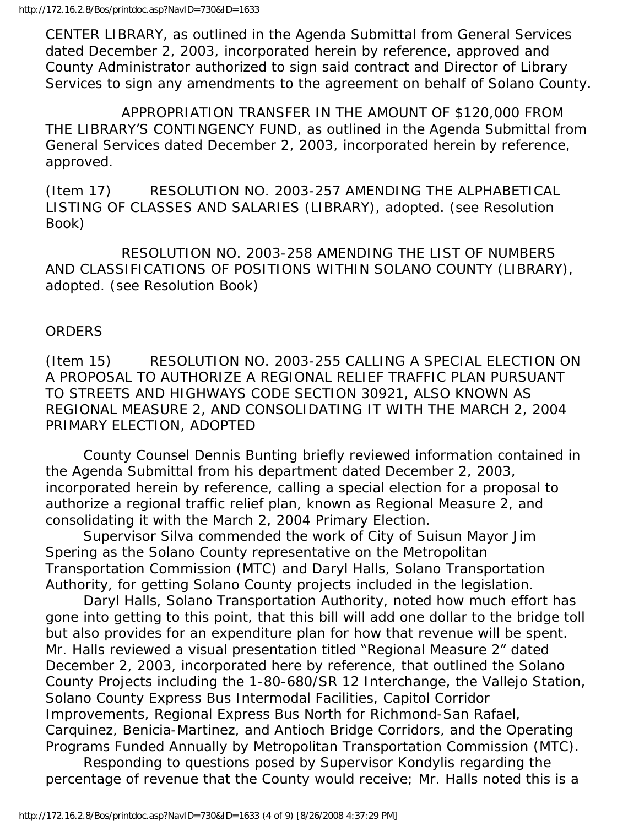CENTER LIBRARY, as outlined in the Agenda Submittal from General Services dated December 2, 2003, incorporated herein by reference, approved and County Administrator authorized to sign said contract and Director of Library Services to sign any amendments to the agreement on behalf of Solano County.

 APPROPRIATION TRANSFER IN THE AMOUNT OF \$120,000 FROM THE LIBRARY'S CONTINGENCY FUND, as outlined in the Agenda Submittal from General Services dated December 2, 2003, incorporated herein by reference, approved.

(Item 17) RESOLUTION NO. 2003-257 AMENDING THE ALPHABETICAL LISTING OF CLASSES AND SALARIES (LIBRARY), adopted. (see Resolution Book)

 RESOLUTION NO. 2003-258 AMENDING THE LIST OF NUMBERS AND CLASSIFICATIONS OF POSITIONS WITHIN SOLANO COUNTY (LIBRARY), adopted. (see Resolution Book)

#### ORDERS

(Item 15) RESOLUTION NO. 2003-255 CALLING A SPECIAL ELECTION ON A PROPOSAL TO AUTHORIZE A REGIONAL RELIEF TRAFFIC PLAN PURSUANT TO STREETS AND HIGHWAYS CODE SECTION 30921, ALSO KNOWN AS REGIONAL MEASURE 2, AND CONSOLIDATING IT WITH THE MARCH 2, 2004 PRIMARY ELECTION, ADOPTED

 County Counsel Dennis Bunting briefly reviewed information contained in the Agenda Submittal from his department dated December 2, 2003, incorporated herein by reference, calling a special election for a proposal to authorize a regional traffic relief plan, known as Regional Measure 2, and consolidating it with the March 2, 2004 Primary Election.

 Supervisor Silva commended the work of City of Suisun Mayor Jim Spering as the Solano County representative on the Metropolitan Transportation Commission (MTC) and Daryl Halls, Solano Transportation Authority, for getting Solano County projects included in the legislation.

 Daryl Halls, Solano Transportation Authority, noted how much effort has gone into getting to this point, that this bill will add one dollar to the bridge toll but also provides for an expenditure plan for how that revenue will be spent. Mr. Halls reviewed a visual presentation titled "Regional Measure 2" dated December 2, 2003, incorporated here by reference, that outlined the Solano County Projects including the 1-80-680/SR 12 Interchange, the Vallejo Station, Solano County Express Bus Intermodal Facilities, Capitol Corridor Improvements, Regional Express Bus North for Richmond-San Rafael, Carquinez, Benicia-Martinez, and Antioch Bridge Corridors, and the Operating Programs Funded Annually by Metropolitan Transportation Commission (MTC).

 Responding to questions posed by Supervisor Kondylis regarding the percentage of revenue that the County would receive; Mr. Halls noted this is a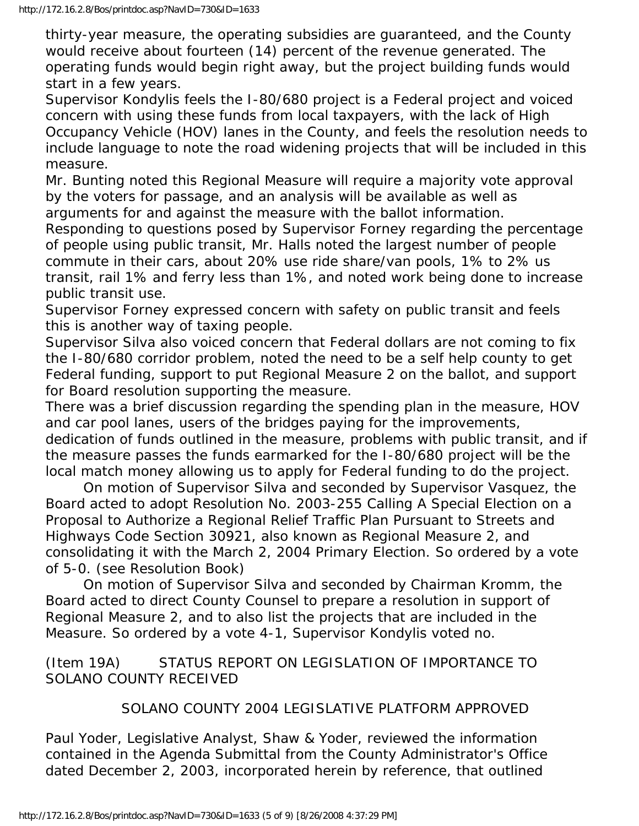thirty-year measure, the operating subsidies are guaranteed, and the County would receive about fourteen (14) percent of the revenue generated. The operating funds would begin right away, but the project building funds would start in a few years.

Supervisor Kondylis feels the I-80/680 project is a Federal project and voiced concern with using these funds from local taxpayers, with the lack of High Occupancy Vehicle (HOV) lanes in the County, and feels the resolution needs to include language to note the road widening projects that will be included in this measure.

Mr. Bunting noted this Regional Measure will require a majority vote approval by the voters for passage, and an analysis will be available as well as arguments for and against the measure with the ballot information.

Responding to questions posed by Supervisor Forney regarding the percentage of people using public transit, Mr. Halls noted the largest number of people commute in their cars, about 20% use ride share/van pools, 1% to 2% us transit, rail 1% and ferry less than 1%, and noted work being done to increase public transit use.

Supervisor Forney expressed concern with safety on public transit and feels this is another way of taxing people.

Supervisor Silva also voiced concern that Federal dollars are not coming to fix the I-80/680 corridor problem, noted the need to be a self help county to get Federal funding, support to put Regional Measure 2 on the ballot, and support for Board resolution supporting the measure.

There was a brief discussion regarding the spending plan in the measure, HOV and car pool lanes, users of the bridges paying for the improvements, dedication of funds outlined in the measure, problems with public transit, and if the measure passes the funds earmarked for the I-80/680 project will be the local match money allowing us to apply for Federal funding to do the project.

 On motion of Supervisor Silva and seconded by Supervisor Vasquez, the Board acted to adopt Resolution No. 2003-255 Calling A Special Election on a Proposal to Authorize a Regional Relief Traffic Plan Pursuant to Streets and Highways Code Section 30921, also known as Regional Measure 2, and consolidating it with the March 2, 2004 Primary Election. So ordered by a vote of 5-0. (see Resolution Book)

 On motion of Supervisor Silva and seconded by Chairman Kromm, the Board acted to direct County Counsel to prepare a resolution in support of Regional Measure 2, and to also list the projects that are included in the Measure. So ordered by a vote 4-1, Supervisor Kondylis voted no.

### (Item 19A) STATUS REPORT ON LEGISLATION OF IMPORTANCE TO SOLANO COUNTY RECEIVED

# SOLANO COUNTY 2004 LEGISLATIVE PLATFORM APPROVED

Paul Yoder, Legislative Analyst, Shaw & Yoder, reviewed the information contained in the Agenda Submittal from the County Administrator's Office dated December 2, 2003, incorporated herein by reference, that outlined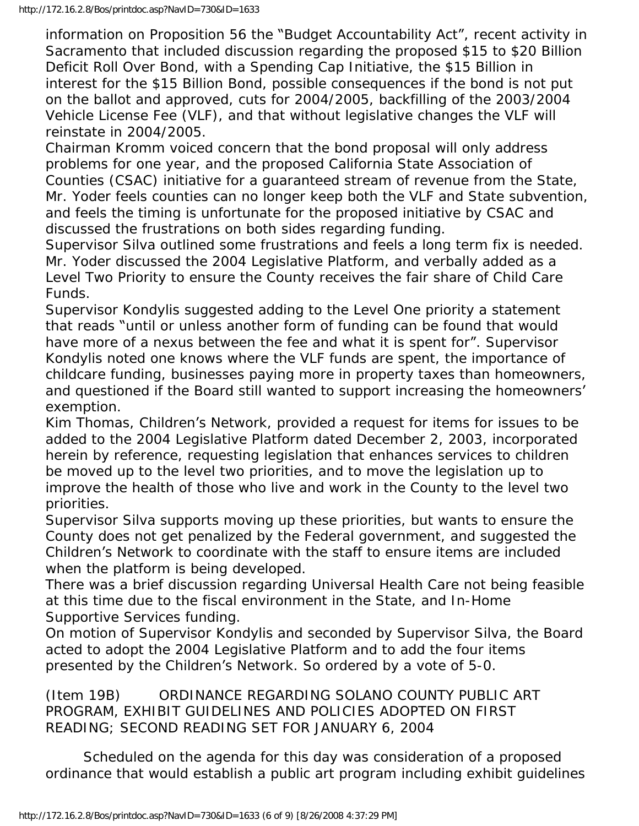information on Proposition 56 the "Budget Accountability Act", recent activity in Sacramento that included discussion regarding the proposed \$15 to \$20 Billion Deficit Roll Over Bond, with a Spending Cap Initiative, the \$15 Billion in interest for the \$15 Billion Bond, possible consequences if the bond is not put on the ballot and approved, cuts for 2004/2005, backfilling of the 2003/2004 Vehicle License Fee (VLF), and that without legislative changes the VLF will reinstate in 2004/2005.

Chairman Kromm voiced concern that the bond proposal will only address problems for one year, and the proposed California State Association of Counties (CSAC) initiative for a guaranteed stream of revenue from the State, Mr. Yoder feels counties can no longer keep both the VLF and State subvention, and feels the timing is unfortunate for the proposed initiative by CSAC and discussed the frustrations on both sides regarding funding.

Supervisor Silva outlined some frustrations and feels a long term fix is needed. Mr. Yoder discussed the 2004 Legislative Platform, and verbally added as a Level Two Priority to ensure the County receives the fair share of Child Care Funds.

Supervisor Kondylis suggested adding to the Level One priority a statement that reads "until or unless another form of funding can be found that would have more of a nexus between the fee and what it is spent for". Supervisor Kondylis noted one knows where the VLF funds are spent, the importance of childcare funding, businesses paying more in property taxes than homeowners, and questioned if the Board still wanted to support increasing the homeowners' exemption.

Kim Thomas, Children's Network, provided a request for items for issues to be added to the 2004 Legislative Platform dated December 2, 2003, incorporated herein by reference, requesting legislation that enhances services to children be moved up to the level two priorities, and to move the legislation up to improve the health of those who live and work in the County to the level two priorities.

Supervisor Silva supports moving up these priorities, but wants to ensure the County does not get penalized by the Federal government, and suggested the Children's Network to coordinate with the staff to ensure items are included when the platform is being developed.

There was a brief discussion regarding Universal Health Care not being feasible at this time due to the fiscal environment in the State, and In-Home Supportive Services funding.

On motion of Supervisor Kondylis and seconded by Supervisor Silva, the Board acted to adopt the 2004 Legislative Platform and to add the four items presented by the Children's Network. So ordered by a vote of 5-0.

(Item 19B) ORDINANCE REGARDING SOLANO COUNTY PUBLIC ART PROGRAM, EXHIBIT GUIDELINES AND POLICIES ADOPTED ON FIRST READING; SECOND READING SET FOR JANUARY 6, 2004

 Scheduled on the agenda for this day was consideration of a proposed ordinance that would establish a public art program including exhibit guidelines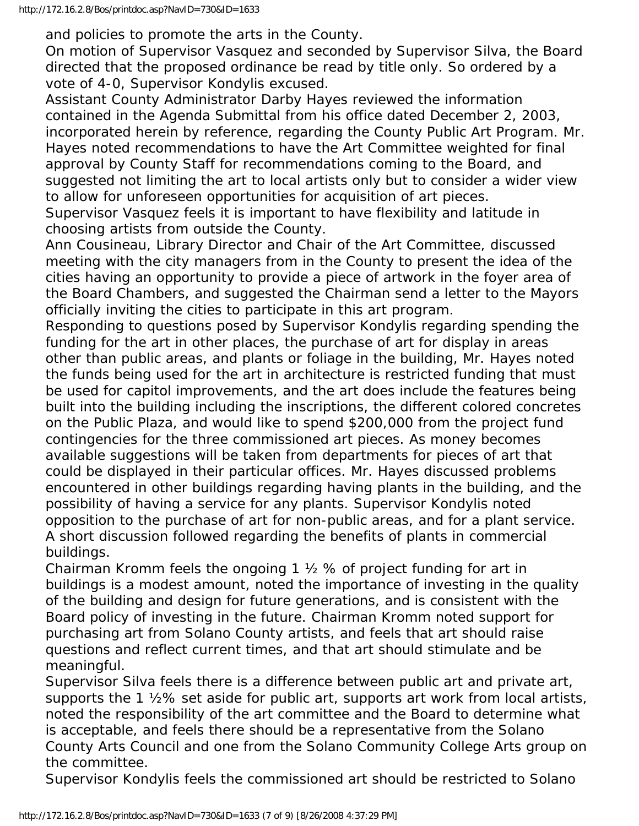and policies to promote the arts in the County.

On motion of Supervisor Vasquez and seconded by Supervisor Silva, the Board directed that the proposed ordinance be read by title only. So ordered by a vote of 4-0, Supervisor Kondylis excused.

Assistant County Administrator Darby Hayes reviewed the information contained in the Agenda Submittal from his office dated December 2, 2003, incorporated herein by reference, regarding the County Public Art Program. Mr. Hayes noted recommendations to have the Art Committee weighted for final approval by County Staff for recommendations coming to the Board, and suggested not limiting the art to local artists only but to consider a wider view to allow for unforeseen opportunities for acquisition of art pieces.

Supervisor Vasquez feels it is important to have flexibility and latitude in choosing artists from outside the County.

Ann Cousineau, Library Director and Chair of the Art Committee, discussed meeting with the city managers from in the County to present the idea of the cities having an opportunity to provide a piece of artwork in the foyer area of the Board Chambers, and suggested the Chairman send a letter to the Mayors officially inviting the cities to participate in this art program.

Responding to questions posed by Supervisor Kondylis regarding spending the funding for the art in other places, the purchase of art for display in areas other than public areas, and plants or foliage in the building, Mr. Hayes noted the funds being used for the art in architecture is restricted funding that must be used for capitol improvements, and the art does include the features being built into the building including the inscriptions, the different colored concretes on the Public Plaza, and would like to spend \$200,000 from the project fund contingencies for the three commissioned art pieces. As money becomes available suggestions will be taken from departments for pieces of art that could be displayed in their particular offices. Mr. Hayes discussed problems encountered in other buildings regarding having plants in the building, and the possibility of having a service for any plants. Supervisor Kondylis noted opposition to the purchase of art for non-public areas, and for a plant service. A short discussion followed regarding the benefits of plants in commercial buildings.

Chairman Kromm feels the ongoing 1 ½ % of project funding for art in buildings is a modest amount, noted the importance of investing in the quality of the building and design for future generations, and is consistent with the Board policy of investing in the future. Chairman Kromm noted support for purchasing art from Solano County artists, and feels that art should raise questions and reflect current times, and that art should stimulate and be meaningful.

Supervisor Silva feels there is a difference between public art and private art, supports the 1 ½% set aside for public art, supports art work from local artists, noted the responsibility of the art committee and the Board to determine what is acceptable, and feels there should be a representative from the Solano County Arts Council and one from the Solano Community College Arts group on the committee.

Supervisor Kondylis feels the commissioned art should be restricted to Solano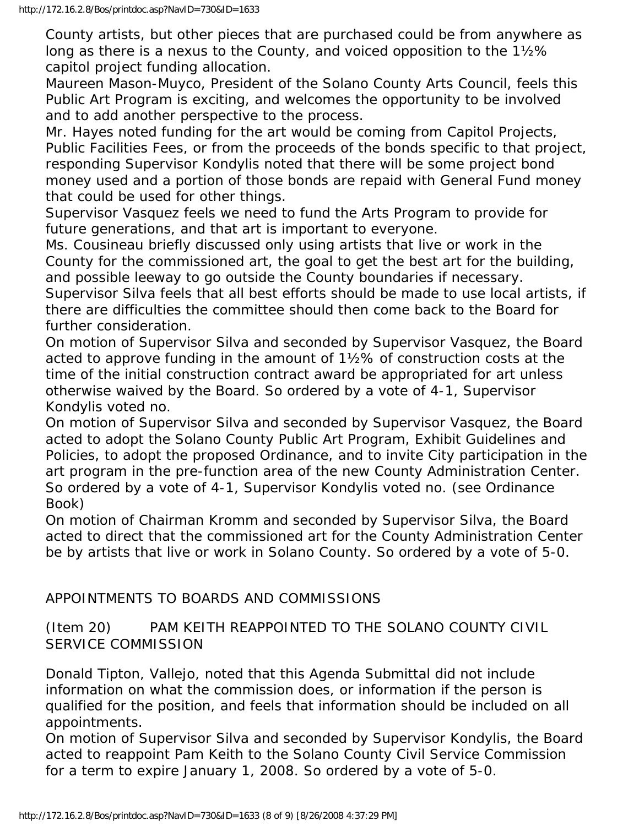County artists, but other pieces that are purchased could be from anywhere as long as there is a nexus to the County, and voiced opposition to the 1½% capitol project funding allocation.

Maureen Mason-Muyco, President of the Solano County Arts Council, feels this Public Art Program is exciting, and welcomes the opportunity to be involved and to add another perspective to the process.

Mr. Hayes noted funding for the art would be coming from Capitol Projects, Public Facilities Fees, or from the proceeds of the bonds specific to that project, responding Supervisor Kondylis noted that there will be some project bond money used and a portion of those bonds are repaid with General Fund money that could be used for other things.

Supervisor Vasquez feels we need to fund the Arts Program to provide for future generations, and that art is important to everyone.

Ms. Cousineau briefly discussed only using artists that live or work in the County for the commissioned art, the goal to get the best art for the building, and possible leeway to go outside the County boundaries if necessary.

Supervisor Silva feels that all best efforts should be made to use local artists, if there are difficulties the committee should then come back to the Board for further consideration.

On motion of Supervisor Silva and seconded by Supervisor Vasquez, the Board acted to approve funding in the amount of 1½% of construction costs at the time of the initial construction contract award be appropriated for art unless otherwise waived by the Board. So ordered by a vote of 4-1, Supervisor Kondylis voted no.

On motion of Supervisor Silva and seconded by Supervisor Vasquez, the Board acted to adopt the Solano County Public Art Program, Exhibit Guidelines and Policies, to adopt the proposed Ordinance, and to invite City participation in the art program in the pre-function area of the new County Administration Center. So ordered by a vote of 4-1, Supervisor Kondylis voted no. (see Ordinance Book)

On motion of Chairman Kromm and seconded by Supervisor Silva, the Board acted to direct that the commissioned art for the County Administration Center be by artists that live or work in Solano County. So ordered by a vote of 5-0.

# APPOINTMENTS TO BOARDS AND COMMISSIONS

(Item 20) PAM KEITH REAPPOINTED TO THE SOLANO COUNTY CIVIL SERVICE COMMISSION

Donald Tipton, Vallejo, noted that this Agenda Submittal did not include information on what the commission does, or information if the person is qualified for the position, and feels that information should be included on all appointments.

On motion of Supervisor Silva and seconded by Supervisor Kondylis, the Board acted to reappoint Pam Keith to the Solano County Civil Service Commission for a term to expire January 1, 2008. So ordered by a vote of 5-0.